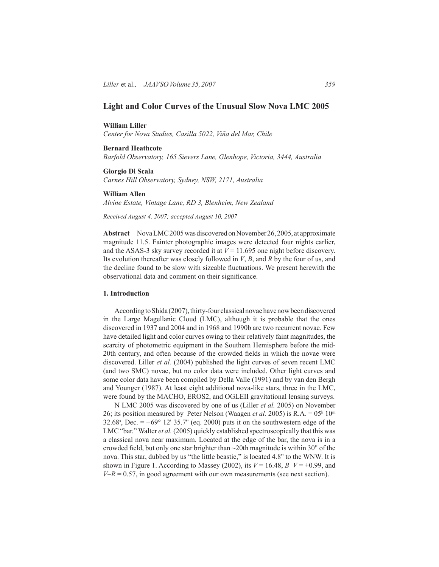# **Light and Color Curves of the Unusual Slow Nova LMC 2005**

## **William Liller**

*Center for Nova Studies, Casilla 5022, Viña del Mar, Chile*

## **Bernard Heathcote**

*Barfold Observatory, 165 Sievers Lane, Glenhope, Victoria, 3444, Australia*

#### **Giorgio Di Scala**

*Carnes Hill Observatory, Sydney, NSW, 2171, Australia*

#### **William Allen**

*Alvine Estate, Vintage Lane, RD 3, Blenheim, New Zealand*

*Received August 4, 2007; accepted August 10, 2007*

**Abstract** Nova LMC 2005 was discovered on November 26, 2005, at approximate magnitude 11.5. Fainter photographic images were detected four nights earlier, and the ASAS-3 sky survey recorded it at  $V = 11.695$  one night before discovery. Its evolution thereafter was closely followed in *V*, *B*, and *R* by the four of us, and the decline found to be slow with sizeable fluctuations. We present herewith the observational data and comment on their significance.

### **1. Introduction**

According to Shida (2007), thirty-four classical novae have now been discovered in the Large Magellanic Cloud (LMC), although it is probable that the ones discovered in 1937 and 2004 and in 1968 and 1990b are two recurrent novae. Few have detailed light and color curves owing to their relatively faint magnitudes, the scarcity of photometric equipment in the Southern Hemisphere before the mid-20th century, and often because of the crowded fields in which the novae were discovered. Liller *et al.* (2004) published the light curves of seven recent LMC (and two SMC) novae, but no color data were included. Other light curves and some color data have been compiled by Della Valle (1991) and by van den Bergh and Younger (1987). At least eight additional nova-like stars, three in the LMC, were found by the MACHO, EROS2, and OGLEII gravitational lensing surveys.

N LMC 2005 was discovered by one of us (Liller *et al.* 2005) on November 26; its position measured by Peter Nelson (Waagen *et al.* 2005) is R.A. = 05<sup>h</sup> 10<sup>m</sup> 32.68<sup>s</sup>, Dec.  $= -69^{\circ}$  12' 35.7" (eq. 2000) puts it on the southwestern edge of the LMC "bar." Walter *et al.* (2005) quickly established spectroscopically that this was a classical nova near maximum. Located at the edge of the bar, the nova is in a crowded field, but only one star brighter than ~20th magnitude is within 30" of the nova. This star, dubbed by us "the little beastie," is located 4.8" to the WNW. It is shown in Figure 1. According to Massey (2002), its  $V = 16.48$ ,  $B-V = +0.99$ , and  $V-R = 0.57$ , in good agreement with our own measurements (see next section).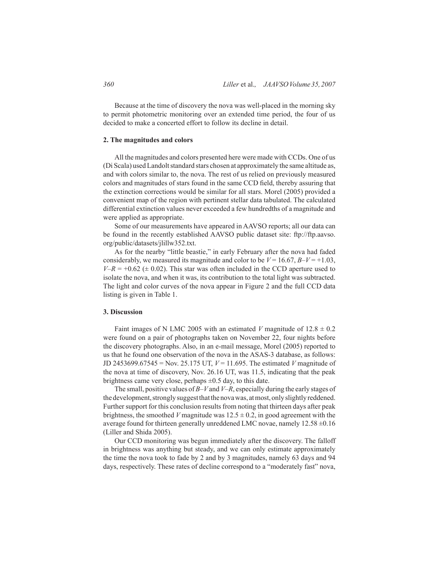Because at the time of discovery the nova was well-placed in the morning sky to permit photometric monitoring over an extended time period, the four of us decided to make a concerted effort to follow its decline in detail.

### **2. The magnitudes and colors**

All the magnitudes and colors presented here were made with CCDs. One of us (Di Scala) used Landolt standard stars chosen at approximately the same altitude as, and with colors similar to, the nova. The rest of us relied on previously measured colors and magnitudes of stars found in the same CCD field, thereby assuring that the extinction corrections would be similar for all stars. Morel (2005) provided a convenient map of the region with pertinent stellar data tabulated. The calculated differential extinction values never exceeded a few hundredths of a magnitude and were applied as appropriate.

Some of our measurements have appeared in AAVSO reports; all our data can be found in the recently established AAVSO public dataset site: ftp://ftp.aavso. org/public/datasets/jlillw352.txt.

As for the nearby "little beastie," in early February after the nova had faded considerably, we measured its magnitude and color to be  $V = 16.67$ ,  $B-V = +1.03$ ,  $V-R = +0.62 \ (\pm 0.02)$ . This star was often included in the CCD aperture used to isolate the nova, and when it was, its contribution to the total light was subtracted. The light and color curves of the nova appear in Figure 2 and the full CCD data listing is given in Table 1.

## **3. Discussion**

Faint images of N LMC 2005 with an estimated *V* magnitude of  $12.8 \pm 0.2$ were found on a pair of photographs taken on November 22, four nights before the discovery photographs. Also, in an e-mail message, Morel (2005) reported to us that he found one observation of the nova in the ASAS-3 database, as follows: JD 2453699.67545 = Nov. 25.175 UT,  $V = 11.695$ . The estimated *V* magnitude of the nova at time of discovery, Nov. 26.16 UT, was 11.5, indicating that the peak brightness came very close, perhaps  $\pm 0.5$  day, to this date.

The small, positive values of *B–V* and *V–R*, especially during the early stages of the development, strongly suggest that the nova was, at most, only slightly reddened. Further support for this conclusion results from noting that thirteen days after peak brightness, the smoothed *V* magnitude was  $12.5 \pm 0.2$ , in good agreement with the average found for thirteen generally unreddened LMC novae, namely  $12.58 \pm 0.16$ (Liller and Shida 2005).

Our CCD monitoring was begun immediately after the discovery. The falloff in brightness was anything but steady, and we can only estimate approximately the time the nova took to fade by 2 and by 3 magnitudes, namely 63 days and 94 days, respectively. These rates of decline correspond to a "moderately fast" nova,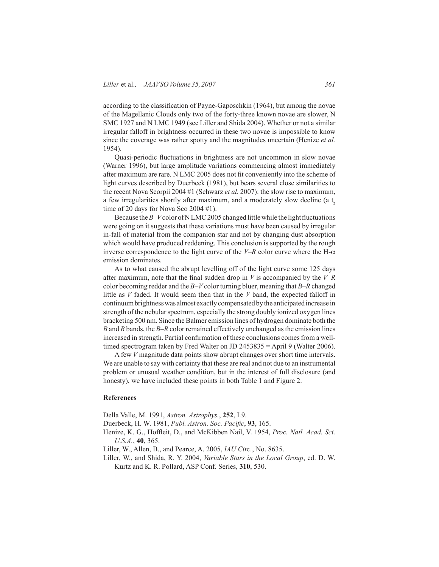according to the classification of Payne-Gaposchkin (1964), but among the novae of the Magellanic Clouds only two of the forty-three known novae are slower, N SMC 1927 and N LMC 1949 (see Liller and Shida 2004). Whether or not a similar irregular falloff in brightness occurred in these two novae is impossible to know since the coverage was rather spotty and the magnitudes uncertain (Henize *et al.* 1954).

Quasi-periodic fluctuations in brightness are not uncommon in slow novae (Warner 1996), but large amplitude variations commencing almost immediately after maximum are rare. N LMC 2005 does not fit conveniently into the scheme of light curves described by Duerbeck (1981), but bears several close similarities to the recent Nova Scorpii 2004 #1 (Schwarz *et al.* 2007): the slow rise to maximum, a few irregularities shortly after maximum, and a moderately slow decline (a  $t<sub>2</sub>$ time of 20 days for Nova Sco 2004 #1).

Because the *B–V* color of N LMC 2005 changed little while the light fluctuations were going on it suggests that these variations must have been caused by irregular in-fall of material from the companion star and not by changing dust absorption which would have produced reddening. This conclusion is supported by the rough inverse correspondence to the light curve of the  $V-R$  color curve where the H- $\alpha$ emission dominates.

As to what caused the abrupt levelling off of the light curve some 125 days after maximum, note that the final sudden drop in *V* is accompanied by the *V–R* color becoming redder and the *B–V* color turning bluer, meaning that *B–R* changed little as *V* faded. It would seem then that in the *V* band, the expected falloff in continuum brightness was almost exactly compensated by the anticipated increase in strength of the nebular spectrum, especially the strong doubly ionized oxygen lines bracketing 500 nm. Since the Balmer emission lines of hydrogen dominate both the *B* and *R* bands, the *B–R* color remained effectively unchanged as the emission lines increased in strength. Partial confirmation of these conclusions comes from a welltimed spectrogram taken by Fred Walter on JD 2453835 = April 9 (Walter 2006).

A few *V* magnitude data points show abrupt changes over short time intervals. We are unable to say with certainty that these are real and not due to an instrumental problem or unusual weather condition, but in the interest of full disclosure (and honesty), we have included these points in both Table 1 and Figure 2.

### **References**

Della Valle, M. 1991, *Astron. Astrophys.*, **252**, L9.

- Duerbeck, H. W. 1981, *Publ. Astron. Soc. Pacific*, **93**, 165.
- Henize, K. G., Hoffleit, D., and McKibben Nail, V. 1954, *Proc. Natl. Acad. Sci. U.S.A.*, **40**, 365.
- Liller, W., Allen, B., and Pearce, A. 2005, *IAU Circ.*, No. 8635.
- Liller, W., and Shida, R. Y. 2004, *Variable Stars in the Local Group*, ed. D. W. Kurtz and K. R. Pollard, ASP Conf. Series, **310**, 530.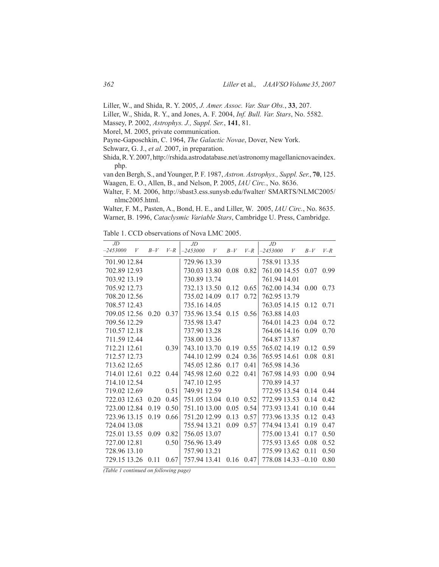Liller, W., and Shida, R. Y. 2005, *J. Amer. Assoc. Var. Star Obs.*, **33**, 207.

- Liller, W., Shida, R. Y., and Jones, A. F. 2004, *Inf. Bull. Var. Stars*, No. 5582.
- Massey, P. 2002, *Astrophys. J., Suppl. Ser.*, **141**, 81.

Morel, M. 2005, private communication.

Payne-Gaposchkin, C. 1964, *The Galactic Novae*, Dover, New York.

Schwarz, G. J., *et al.* 2007, in preparation.

Shida, R. Y. 2007, http://rshida.astrodatabase.net/astronomy magellanicnovaeindex. php.

van den Bergh, S., and Younger, P. F. 1987, *Astron. Astrophys., Suppl. Ser.*, **70**, 125. Waagen, E. O., Allen, B., and Nelson, P. 2005, *IAU Circ.*, No. 8636.

Walter, F. M. 2006, http://sbast3.ess.sunysb.edu/fwalter/ SMARTS/NLMC2005/ nlmc2005.html.

Walter, F. M., Pasten, A., Bond, H. E., and Liller, W. 2005, *IAU Circ.*, No. 8635. Warner, B. 1996, *Cataclysmic Variable Stars*, Cambridge U. Press, Cambridge.

Table 1. CCD observations of Nova LMC 2005.

| JD           |   |       |                   | $J\!D$       |   |       |       | JD                 |         |                   |       |
|--------------|---|-------|-------------------|--------------|---|-------|-------|--------------------|---------|-------------------|-------|
| $-2453000$   | V | $B-V$ | $V-R$             | $-2453000$   | V | $B-V$ | $V-R$ | $-2453000$         | $V_{-}$ | $B-V$             | $V-R$ |
| 701.90 12.84 |   |       |                   | 729.96 13.39 |   |       |       | 758.91 13.35       |         |                   |       |
| 702.89 12.93 |   |       |                   | 730.03 13.80 |   | 0.08  | 0.82  | 761.00 14.55       |         | 0.07 0.99         |       |
| 703.92 13.19 |   |       |                   | 730.89 13.74 |   |       |       | 761.94 14.01       |         |                   |       |
| 705.92 12.73 |   |       |                   | 732.13 13.50 |   | 0.12  | 0.65  | 762.00 14.34       |         | $0.00 \quad 0.73$ |       |
| 708.20 12.56 |   |       |                   | 735.02 14.09 |   | 0.17  | 0.72  | 762.95 13.79       |         |                   |       |
| 708.57 12.43 |   |       |                   | 735.16 14.05 |   |       |       | 763.05 14.15       |         | 0.12 0.71         |       |
| 709.05 12.56 |   | 0.20  | 0.37              | 735.96 13.54 |   | 0.15  | 0.56  | 763.88 14.03       |         |                   |       |
| 709.56 12.29 |   |       |                   | 735.98 13.47 |   |       |       | 764.01 14.23       |         | 0.04              | 0.72  |
| 710.57 12.18 |   |       |                   | 737.90 13.28 |   |       |       | 764.06 14.16       |         | 0.09              | 0.70  |
| 711.59 12.44 |   |       |                   | 738.00 13.36 |   |       |       | 764.87 13.87       |         |                   |       |
| 712.21 12.61 |   |       | 0.39              | 743.10 13.70 |   | 0.19  | 0.55  | 765.02 14.19       |         | 0.12              | 0.59  |
| 712.57 12.73 |   |       |                   | 744.10 12.99 |   | 0.24  | 0.36  | 765.95 14.61       |         | 0.08              | 0.81  |
| 713.62 12.65 |   |       |                   | 745.05 12.86 |   | 0.17  | 0.41  | 765.98 14.36       |         |                   |       |
| 714.01 12.61 |   |       | $0.22 \quad 0.44$ | 745.98 12.60 |   | 0.22  | 0.41  | 767.98 14.93       |         | $0.00 -$          | 0.94  |
| 714.10 12.54 |   |       |                   | 747.10 12.95 |   |       |       | 770.89 14.37       |         |                   |       |
| 719.02 12.69 |   |       | 0.51              | 749.91 12.59 |   |       |       | 772.95 13.54       |         | 0.14              | 0.44  |
| 722.03 12.63 |   | 0.20  | 0.45              | 751.05 13.04 |   | 0.10  | 0.52  | 772.99 13.53       |         | 0.14              | 0.42  |
| 723.00 12.84 |   | 0.19  | 0.50              | 751.10 13.00 |   | 0.05  | 0.54  | 773.93 13.41       |         | 0.10              | 0.44  |
| 723.96 13.15 |   | 0.19  | 0.66              | 751.2012.99  |   | 0.13  | 0.57  | 773.96 13.35       |         | 0.12              | 0.43  |
| 724.04 13.08 |   |       |                   | 755.94 13.21 |   | 0.09  | 0.57  | 774.94 13.41       |         | 0.19              | 0.47  |
| 725.01 13.55 |   | 0.09  | 0.82              | 756.05 13.07 |   |       |       | 775.00 13.41       |         | 0.17              | 0.50  |
| 727.00 12.81 |   |       | 0.50              | 756.96 13.49 |   |       |       | 775.93 13.65       |         | 0.08              | 0.52  |
| 728.96 13.10 |   |       |                   | 757.90 13.21 |   |       |       | 775.99 13.62       |         | 0.11              | 0.50  |
| 729.15 13.26 |   | 0.11  | 0.67              | 757.94 13.41 |   | 0.16  | 0.47  | 778.08 14.33 -0.10 |         |                   | 0.80  |

*(Table 1 continued on following page)*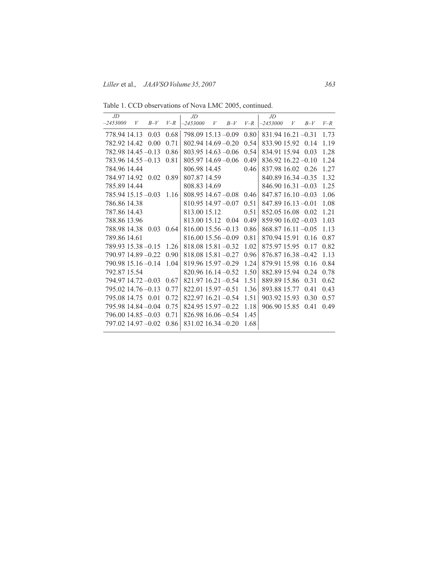Table 1. CCD observations of Nova LMC 2005, continued.

| JD.                    |   |           |       | $J\!D$                 |   |       |       | JD                   |   |       |       |
|------------------------|---|-----------|-------|------------------------|---|-------|-------|----------------------|---|-------|-------|
| $-2453000$             | V | $B-V$     | $V-R$ | $-2453000$             | V | $B-V$ | $V-R$ | $-2453000$           | V | $B-V$ | $V-R$ |
| 778.94 14.13           |   | 0.03      | 0.68  | 798.09 15.13 -0.09     |   |       | 0.80  | $831.94$ 16.21 -0.31 |   |       | 1.73  |
| 782.92 14.42           |   | 0.00      | 0.71  | $802.94$ 14.69 $-0.20$ |   |       | 0.54  | 833.90 15.92 0.14    |   |       | 1.19  |
| $782.98$ 14.45 $-0.13$ |   |           | 0.86  | $803.95$ 14.63 $-0.06$ |   |       | 0.54  | 834.91 15.94 0.03    |   |       | 1.28  |
| $783.96$ 14.55 $-0.13$ |   |           | 0.81  | 805.97 14.69 -0.06     |   |       | 0.49  | 836.92 16.22 -0.10   |   |       | 1.24  |
| 784.96 14.44           |   |           |       | 806.98 14.45           |   |       | 0.46  | 837.98 16.02 0.26    |   |       | 1.27  |
| 784.97 14.92           |   | 0.02 0.89 |       | 807.87 14.59           |   |       |       | $840.8916.34 - 0.35$ |   |       | 1.32  |
| 785.89 14.44           |   |           |       | 808.83 14.69           |   |       |       | $846.9016.31 - 0.03$ |   |       | 1.25  |
| 785.94 15.15 - 0.03    |   |           | 1.16  | $808.95$ 14.67 $-0.08$ |   |       | 0.46  | $847.8716.10 - 0.03$ |   |       | 1.06  |
| 786.86 14.38           |   |           |       | $810.95$ 14.97 $-0.07$ |   |       | 0.51  | $847.8916.13 - 0.01$ |   |       | 1.08  |
| 787.86 14.43           |   |           |       | 813.00 15.12           |   |       | 0.51  | 852.05 16.08 0.02    |   |       | 1.21  |
| 788.86 13.96           |   |           |       | 813.00.15.12 0.04      |   |       | 0.49  | $859.9016.02 - 0.03$ |   |       | 1.03  |
| 788.98 14.38           |   | 0.03      | 0.64  | $816.0015.56 - 0.13$   |   |       | 0.86  | $868.8716.11 - 0.05$ |   |       | 1.13  |
| 789.86 14.61           |   |           |       | $816.0015.56 - 0.09$   |   |       | 0.81  | 870.94 15.91         |   | 0.16  | 0.87  |
| 789.93 15.38 -0.15     |   |           | 1.26  | $818.0815.81 - 0.32$   |   |       | 1.02  | 875.97 15.95         |   | 0.17  | 0.82  |
| 790.97 14.89 -0.22     |   |           | 0.90  | $818.08$ 15.81 $-0.27$ |   |       | 0.96  | 876.87 16.38 - 0.42  |   |       | 1.13  |
| 790.98 15.16 -0.14     |   |           | 1.04  | 819.96 15.97 -0.29     |   |       | 1.24  | 879.91 15.98         |   | 0.16  | 0.84  |
| 792.87 15.54           |   |           |       | $820.96$ 16.14 $-0.52$ |   |       | 1.50  | 882.89 15.94         |   | 0.24  | 0.78  |
| 794.97 14.72 -0.03     |   |           | 0.67  | $821.97$ 16.21 -0.54   |   |       | 1.51  | 889.89 15.86         |   | 0.31  | 0.62  |
| $795.02$ 14.76 $-0.13$ |   |           | 0.77  | $822.01$ 15.97 $-0.51$ |   |       | 1.36  | 893.88 15.77         |   | 0.41  | 0.43  |
| 795.08 14.75 0.01      |   |           | 0.72  | 822.97 16.21 -0.54     |   |       | 1.51  | 903.92 15.93         |   | 0.30  | 0.57  |
| 795.98 14.84 - 0.04    |   |           | 0.75  | 824.95 15.97 -0.22     |   |       | 1.18  | 906.90 15.85         |   | 0.41  | 0.49  |
| 796.00 14.85 -0.03     |   |           | 0.71  | $826.9816.06 - 0.54$   |   |       | 1.45  |                      |   |       |       |
| 797.02 14.97 - 0.02    |   |           | 0.86  | $831.0216.34 - 0.20$   |   |       | 1.68  |                      |   |       |       |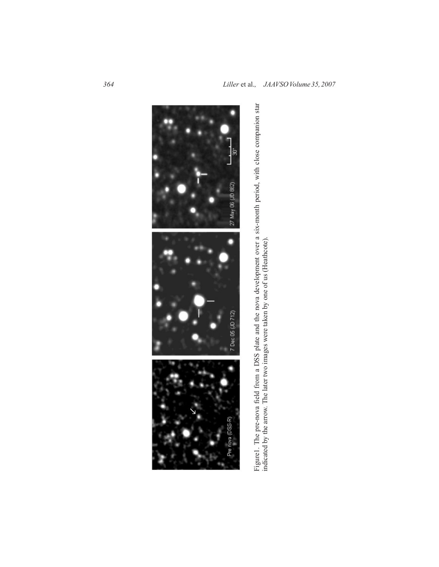

Figure1. The pre-nova field from a DSS plate and the nova development over a six-month period, with close companion star<br>indicated by the arrow. The later two images were taken by one of us (Heathcote). Figure1. The pre-nova field from a DSS plate and the nova development over a six-month period, with close companion star<br>indicated by the arrow. The later two images were taken by one of us (Heathcote).